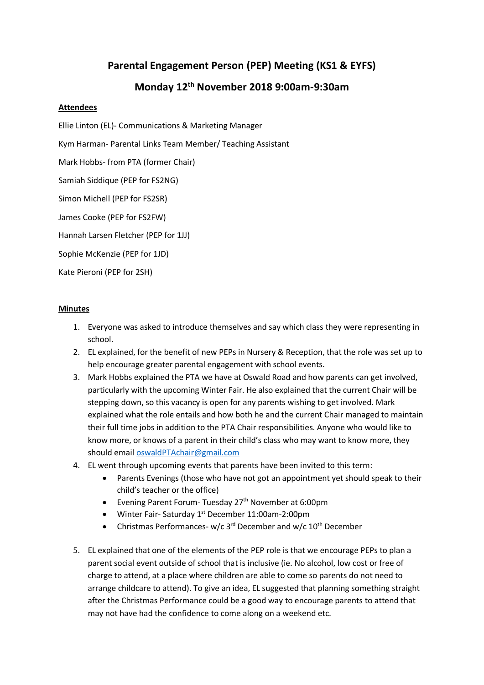## **Parental Engagement Person (PEP) Meeting (KS1 & EYFS)**

## **Monday 12th November 2018 9:00am-9:30am**

## **Attendees**

Ellie Linton (EL)- Communications & Marketing Manager

Kym Harman- Parental Links Team Member/ Teaching Assistant

Mark Hobbs- from PTA (former Chair)

Samiah Siddique (PEP for FS2NG)

Simon Michell (PEP for FS2SR)

James Cooke (PEP for FS2FW)

Hannah Larsen Fletcher (PEP for 1JJ)

Sophie McKenzie (PEP for 1JD)

Kate Pieroni (PEP for 2SH)

## **Minutes**

- 1. Everyone was asked to introduce themselves and say which class they were representing in school.
- 2. EL explained, for the benefit of new PEPs in Nursery & Reception, that the role was set up to help encourage greater parental engagement with school events.
- 3. Mark Hobbs explained the PTA we have at Oswald Road and how parents can get involved, particularly with the upcoming Winter Fair. He also explained that the current Chair will be stepping down, so this vacancy is open for any parents wishing to get involved. Mark explained what the role entails and how both he and the current Chair managed to maintain their full time jobs in addition to the PTA Chair responsibilities. Anyone who would like to know more, or knows of a parent in their child's class who may want to know more, they should emai[l oswaldPTAchair@gmail.com](mailto:oswaldPTAchair@gmail.com)
- 4. EL went through upcoming events that parents have been invited to this term:
	- Parents Evenings (those who have not got an appointment yet should speak to their child's teacher or the office)
	- Evening Parent Forum- Tuesday 27<sup>th</sup> November at 6:00pm
	- Winter Fair- Saturday 1<sup>st</sup> December 11:00am-2:00pm
	- Christmas Performances- w/c  $3^{rd}$  December and w/c  $10^{th}$  December
- 5. EL explained that one of the elements of the PEP role is that we encourage PEPs to plan a parent social event outside of school that is inclusive (ie. No alcohol, low cost or free of charge to attend, at a place where children are able to come so parents do not need to arrange childcare to attend). To give an idea, EL suggested that planning something straight after the Christmas Performance could be a good way to encourage parents to attend that may not have had the confidence to come along on a weekend etc.